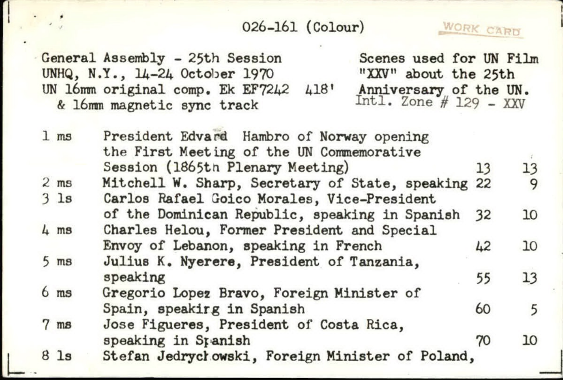## 026-161 (Colour)

WORK CARD

General Assembly - 25th Session Scenes used for UN Film UNHQ, N.Y., 14-24 October 1970 "XXV" about the 25th<br>UN 16mm original comp. Ek EF7242 418' Anniversary of the UN.<br>& 16mm magnetic sync track  $ext{Int1.}$  Zone # 129 - XXV UN 16mm original comp. Ek EF7242 & 16mm magnetic sync track

| 1 <sub>ms</sub> | President Edvard Hambro of Norway opening          |    |    |
|-----------------|----------------------------------------------------|----|----|
|                 | the First Meeting of the UN Commemorative          |    |    |
|                 | Session (1865th Plenary Meeting)                   | 13 | 13 |
| $2 \text{ ms}$  | Mitchell W. Sharp, Secretary of State, speaking 22 |    | 9  |
| 3 <sub>1s</sub> | Carlos Rafael Goico Morales, Vice-President        |    |    |
|                 | of the Dominican Republic, speaking in Spanish     | 32 | 10 |
| $4 \text{ ms}$  | Charles Helou, Former President and Special        |    |    |
|                 | Envoy of Lebanon, speaking in French               | 42 | 10 |
| $5 \text{ ms}$  | Julius K. Nyerere, President of Tanzania,          |    |    |
|                 | speaking                                           | 55 | 13 |
| 6 <sub>ms</sub> | Gregorio Lopez Bravo, Foreign Minister of          |    |    |
|                 | Spain, speakirg in Spanish                         | 60 | 5  |
| $7 \text{ ms}$  | Jose Figueres, President of Costa Rica,            |    |    |
|                 | speaking in Spanish                                | 70 | 10 |
| 8 1s            | Stefan Jedrychowski, Foreign Minister of Poland,   |    |    |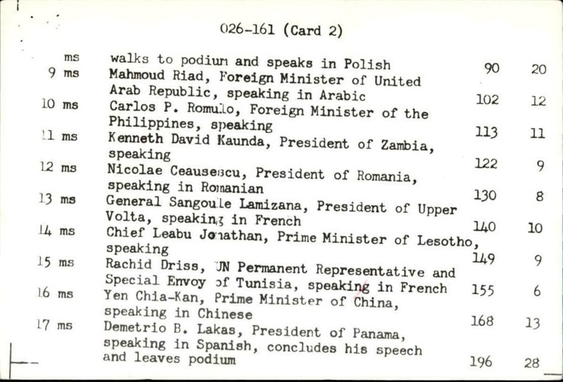## 026-161 (Card 2)

| ms      | walks to podium and speaks in Polish                                                                          |     |    |
|---------|---------------------------------------------------------------------------------------------------------------|-----|----|
| $9$ ms  | Mahmoud Riad, Foreign Minister of United                                                                      | 90  | 20 |
| $10$ ms | Arab Republic, speaking in Arabic<br>Carlos P. Romulo, Foreign Minister of the                                | 102 | 12 |
| 11 ms   | Philippines, speaking<br>Kenneth David Kaunda, President of Zambia,                                           | 113 | 11 |
| $12$ ms | speaking<br>Nicolae Ceausescu, President of Romania,                                                          | 122 | 9  |
| $13$ ms | speaking in Romanian<br>General Sangoule Lamizana, President of Upper                                         | 130 | 8  |
| $14$ ms | Volta, speaking in French<br>Chief Leabu Jonathan, Prime Minister of Lesotho,<br>speaking                     | 140 | 10 |
| $15$ ms | Rachid Driss, UN Permanent Representative and                                                                 | 149 | 9  |
| $16$ ms | Special Envoy of Tunisia, speaking in French<br>Yen Chia-Kan, Prime Minister of China,<br>speaking in Chinese | 155 | 6  |
| $17$ ms | Demetrio B. Lakas, President of Panama,                                                                       | 168 | 13 |
|         | speaking in Spanish, concludes his speech<br>and leaves podium                                                | 196 | 28 |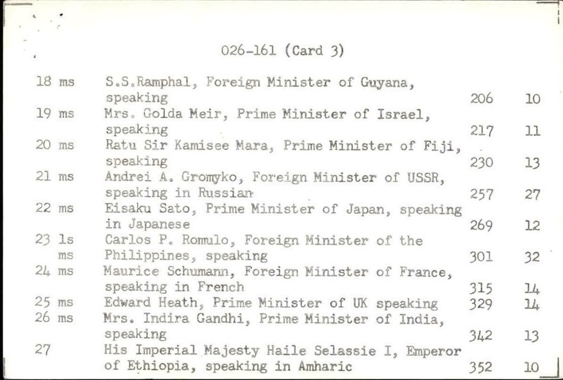026-161 (Card 3)

1 1

«

|    | $18$ ms         | S.S.Ramphal, Foreign Minister of Guyana,       |     |     |
|----|-----------------|------------------------------------------------|-----|-----|
|    |                 | speaking                                       | 206 | 10  |
|    | $19$ ms         | Mrs. Golda Meir, Prime Minister of Israel,     |     |     |
|    |                 | speaking                                       | 217 | 11  |
|    | $20$ ms         | Ratu Sir Kamisee Mara, Prime Minister of Fiji, |     |     |
|    |                 | speaking                                       | 230 | 13  |
|    | $21$ $ms$       | Andrei A. Gromyko, Foreign Minister of USSR,   |     |     |
|    |                 | speaking in Russian                            | 257 | 27  |
|    | $22$ ms         | Eisaku Sato, Prime Minister of Japan, speaking |     |     |
|    |                 | in Japanese                                    | 269 | 12  |
|    | $23$ $1s$       | Carlos P. Romulo, Foreign Minister of the      |     |     |
|    | ms              | Philippines, speaking                          | 301 | 32  |
|    | $24 \text{ ms}$ | Maurice Schumann, Foreign Minister of France,  |     |     |
|    |                 | speaking in French                             | 315 | 14  |
|    | $25$ ms         | Edward Heath, Prime Minister of UK speaking    | 329 | 11. |
|    | $26$ ms         | Mrs. Indira Gandhi, Prime Minister of India,   |     |     |
|    |                 | speaking                                       | 342 | 13  |
| 27 |                 | His Imperial Majesty Haile Selassie I, Emperor |     |     |
|    |                 | of Ethiopia, speaking in Amharic               | 352 |     |